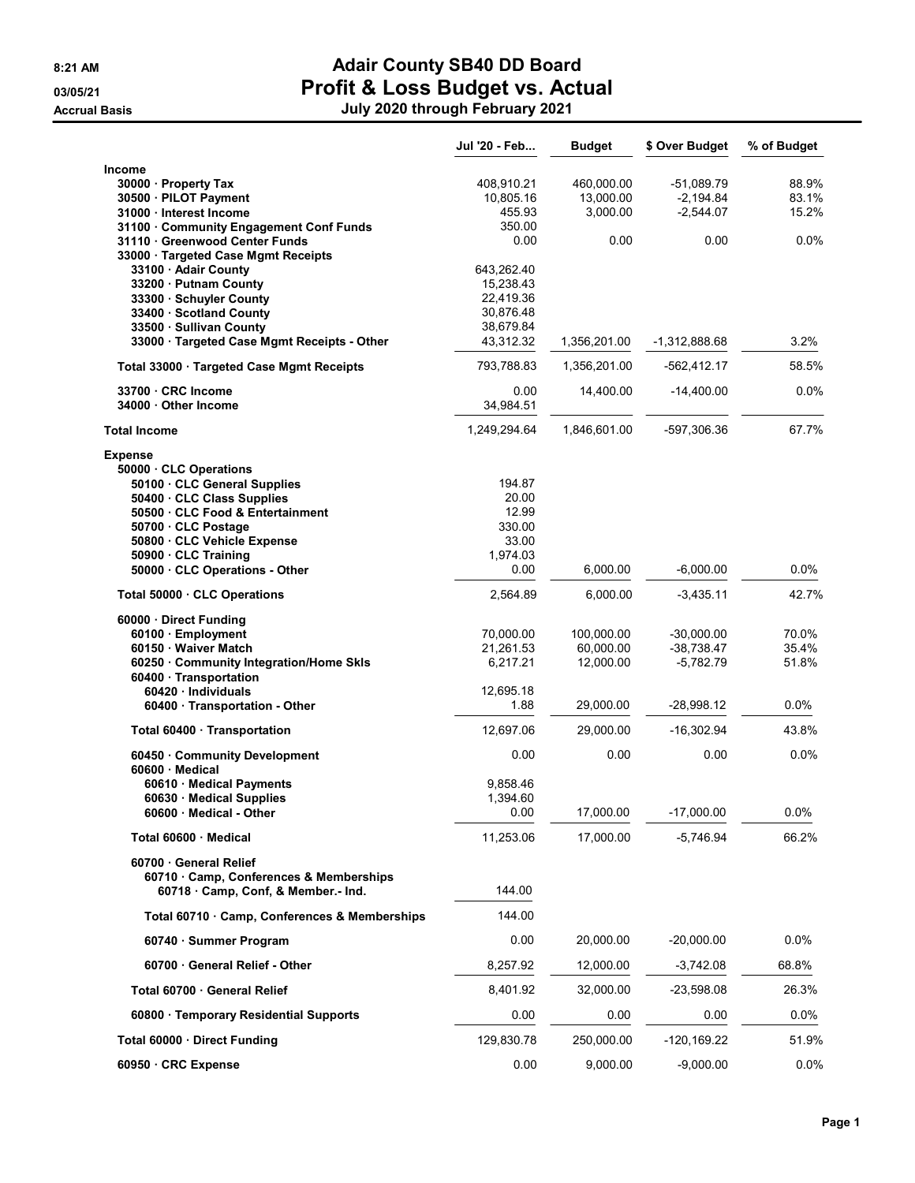## 8:21 AM **Adair County SB40 DD Board** 03/05/21 **Profit & Loss Budget vs. Actual**

|                                                                                    | Jul '20 - Feb          | <b>Budget</b>           | \$ Over Budget               | % of Budget    |
|------------------------------------------------------------------------------------|------------------------|-------------------------|------------------------------|----------------|
| Income                                                                             |                        |                         |                              |                |
| 30000 Property Tax                                                                 | 408,910.21             | 460,000.00              | $-51,089.79$                 | 88.9%          |
| 30500 · PILOT Payment<br>31000 Interest Income                                     | 10,805.16<br>455.93    | 13,000.00<br>3,000.00   | $-2,194.84$<br>$-2,544.07$   | 83.1%<br>15.2% |
| 31100 Community Engagement Conf Funds                                              | 350.00                 |                         |                              |                |
| 31110 Greenwood Center Funds                                                       | 0.00                   | 0.00                    | 0.00                         | 0.0%           |
| 33000 Targeted Case Mgmt Receipts                                                  |                        |                         |                              |                |
| 33100 · Adair County                                                               | 643,262.40             |                         |                              |                |
| 33200 Putnam County<br>33300 · Schuyler County                                     | 15,238.43<br>22,419.36 |                         |                              |                |
| 33400 · Scotland County                                                            | 30,876.48              |                         |                              |                |
| 33500 · Sullivan County                                                            | 38,679.84              |                         |                              |                |
| 33000 · Targeted Case Mgmt Receipts - Other                                        | 43,312.32              | 1,356,201.00            | $-1,312,888.68$              | 3.2%           |
| Total 33000 · Targeted Case Mgmt Receipts                                          | 793,788.83             | 1,356,201.00            | -562,412.17                  | 58.5%          |
| 33700 CRC Income                                                                   | 0.00                   | 14,400.00               | $-14,400.00$                 | 0.0%           |
| 34000 Other Income                                                                 | 34,984.51              |                         |                              |                |
| <b>Total Income</b>                                                                | 1,249,294.64           | 1,846,601.00            | -597,306.36                  | 67.7%          |
| <b>Expense</b>                                                                     |                        |                         |                              |                |
| 50000 CLC Operations<br>50100 CLC General Supplies                                 | 194.87                 |                         |                              |                |
| 50400 CLC Class Supplies                                                           | 20.00                  |                         |                              |                |
| 50500 CLC Food & Entertainment                                                     | 12.99                  |                         |                              |                |
| 50700 CLC Postage                                                                  | 330.00                 |                         |                              |                |
| 50800 · CLC Vehicle Expense                                                        | 33.00                  |                         |                              |                |
| 50900 · CLC Training<br>50000 · CLC Operations - Other                             | 1.974.03<br>0.00       | 6,000.00                | $-6,000.00$                  | $0.0\%$        |
|                                                                                    |                        |                         |                              |                |
| Total 50000 · CLC Operations                                                       | 2,564.89               | 6,000.00                | $-3,435.11$                  | 42.7%          |
| 60000 · Direct Funding                                                             |                        |                         |                              |                |
| 60100 · Employment<br>60150 · Waiver Match                                         | 70,000.00<br>21,261.53 | 100,000.00<br>60,000.00 | $-30,000.00$<br>$-38,738.47$ | 70.0%<br>35.4% |
| 60250 Community Integration/Home Skls                                              | 6,217.21               | 12,000.00               | $-5,782.79$                  | 51.8%          |
| 60400 Transportation                                                               |                        |                         |                              |                |
| 60420 Individuals                                                                  | 12,695.18              |                         |                              |                |
| 60400 · Transportation - Other                                                     | 1.88                   | 29,000.00               | -28,998.12                   | 0.0%           |
| Total 60400 · Transportation                                                       | 12,697.06              | 29,000.00               | $-16,302.94$                 | 43.8%          |
| 60450 Community Development<br>60600 · Medical                                     | 0.00                   | 0.00                    | 0.00                         | 0.0%           |
| 60610 · Medical Payments                                                           | 9.858.46               |                         |                              |                |
| 60630 Medical Supplies                                                             | 1,394.60               |                         |                              |                |
| 60600 Medical - Other                                                              | 0.00                   | 17,000.00               | $-17,000.00$                 | 0.0%           |
| Total 60600 · Medical                                                              | 11,253.06              | 17,000.00               | $-5,746.94$                  | 66.2%          |
| 60700 General Relief                                                               |                        |                         |                              |                |
| 60710 Camp, Conferences & Memberships                                              | 144.00                 |                         |                              |                |
| 60718 Camp, Conf, & Member.- Ind.<br>Total 60710 · Camp, Conferences & Memberships | 144.00                 |                         |                              |                |
|                                                                                    |                        |                         |                              |                |
| 60740 · Summer Program                                                             | 0.00                   | 20,000.00               | $-20,000.00$                 | 0.0%           |
| 60700 General Relief - Other                                                       | 8,257.92               | 12,000.00               | $-3,742.08$                  | 68.8%          |
| Total 60700 General Relief                                                         | 8,401.92               | 32,000.00               | $-23,598.08$                 | 26.3%          |
| 60800 Temporary Residential Supports                                               | 0.00                   | 0.00                    | 0.00                         | 0.0%           |
| Total 60000 · Direct Funding                                                       | 129,830.78             | 250,000.00              | $-120,169.22$                | 51.9%          |
| 60950 CRC Expense                                                                  | 0.00                   | 9,000.00                | $-9,000.00$                  | 0.0%           |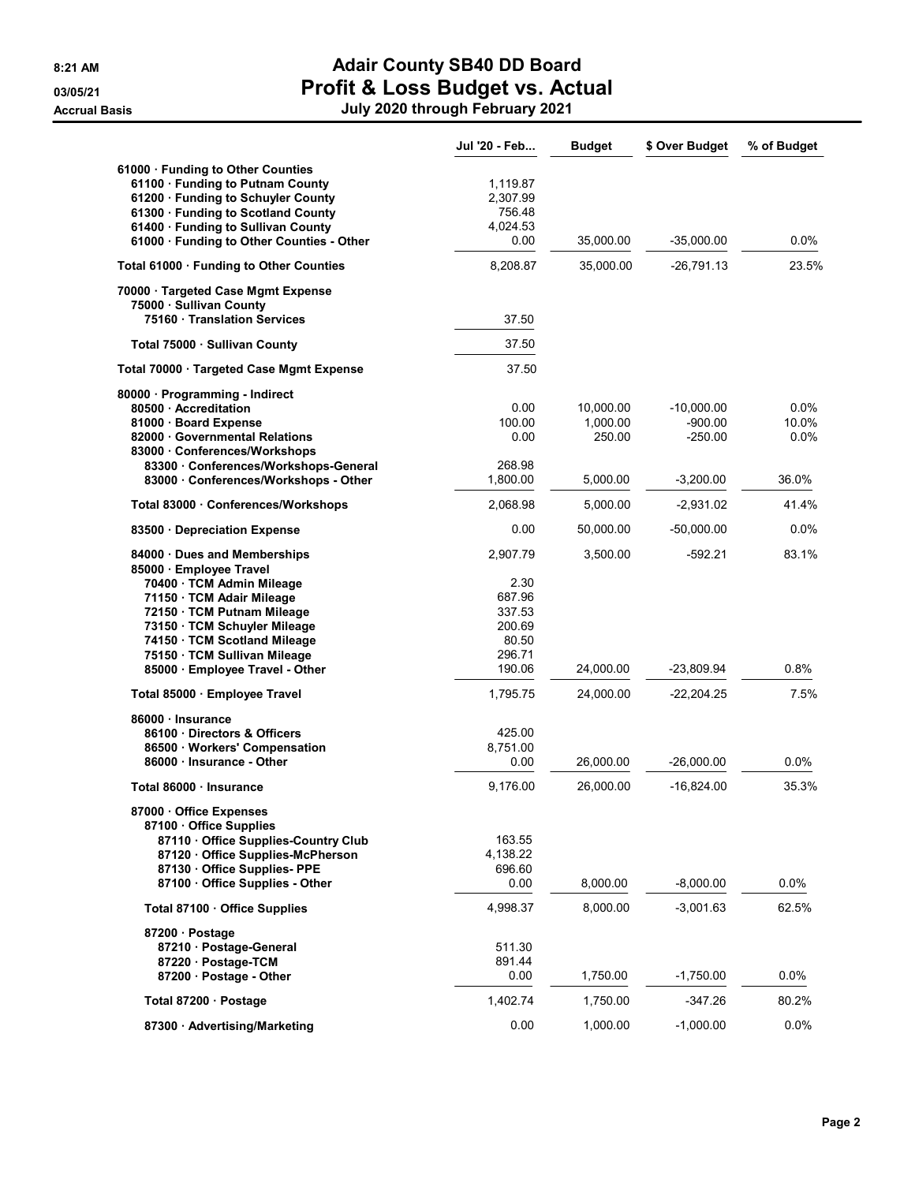## 8:21 AM **Adair County SB40 DD Board** 03/05/21 **Profit & Loss Budget vs. Actual** Accrual Basis July 2020 through February 2021

|                                           | Jul '20 - Feb | <b>Budget</b> | \$ Over Budget | % of Budget |
|-------------------------------------------|---------------|---------------|----------------|-------------|
| 61000 · Funding to Other Counties         |               |               |                |             |
| 61100 · Funding to Putnam County          | 1,119.87      |               |                |             |
| 61200 · Funding to Schuyler County        | 2,307.99      |               |                |             |
| 61300 · Funding to Scotland County        | 756.48        |               |                |             |
| 61400 · Funding to Sullivan County        | 4,024.53      |               |                |             |
| 61000 · Funding to Other Counties - Other | 0.00          | 35,000.00     | $-35,000.00$   | $0.0\%$     |
| Total 61000 · Funding to Other Counties   | 8,208.87      | 35,000.00     | -26,791.13     | 23.5%       |
| 70000 · Targeted Case Mgmt Expense        |               |               |                |             |
| 75000 · Sullivan County                   |               |               |                |             |
| 75160 Translation Services                | 37.50         |               |                |             |
| Total 75000 · Sullivan County             | 37.50         |               |                |             |
| Total 70000 · Targeted Case Mgmt Expense  | 37.50         |               |                |             |
| 80000 · Programming - Indirect            |               |               |                |             |
| 80500 Accreditation                       | 0.00          | 10,000.00     | $-10,000.00$   | 0.0%        |
| 81000 · Board Expense                     | 100.00        | 1,000.00      | $-900.00$      | 10.0%       |
| 82000 Governmental Relations              | 0.00          | 250.00        | $-250.00$      | $0.0\%$     |
| 83000 Conferences/Workshops               |               |               |                |             |
| 83300 Conferences/Workshops-General       | 268.98        |               |                |             |
| 83000 Conferences/Workshops - Other       | 1.800.00      | 5,000.00      | $-3,200.00$    | 36.0%       |
| Total 83000 · Conferences/Workshops       | 2,068.98      | 5,000.00      | $-2,931.02$    | 41.4%       |
| 83500 Depreciation Expense                | 0.00          | 50,000.00     | $-50,000.00$   | 0.0%        |
| 84000 Dues and Memberships                | 2.907.79      | 3,500.00      | $-592.21$      | 83.1%       |
| 85000 · Employee Travel                   |               |               |                |             |
| 70400 · TCM Admin Mileage                 | 2.30          |               |                |             |
| 71150 · TCM Adair Mileage                 | 687.96        |               |                |             |
| 72150 · TCM Putnam Mileage                | 337.53        |               |                |             |
| 73150 · TCM Schuyler Mileage              | 200.69        |               |                |             |
| 74150 · TCM Scotland Mileage              | 80.50         |               |                |             |
| 75150 · TCM Sullivan Mileage              | 296.71        |               |                |             |
| 85000 · Employee Travel - Other           | 190.06        | 24,000.00     | -23,809.94     | 0.8%        |
| Total 85000 · Employee Travel             | 1,795.75      | 24,000.00     | $-22,204.25$   | 7.5%        |
| 86000 Insurance                           |               |               |                |             |
| 86100 Directors & Officers                | 425.00        |               |                |             |
| 86500 Workers' Compensation               | 8,751.00      |               |                |             |
| 86000 · Insurance - Other                 | 0.00          | 26,000.00     | $-26,000.00$   | 0.0%        |
| Total 86000 · Insurance                   | 9,176.00      | 26,000.00     | $-16,824.00$   | 35.3%       |
| 87000 Office Expenses                     |               |               |                |             |
| 87100 Office Supplies                     |               |               |                |             |
| 87110 Office Supplies-Country Club        | 163.55        |               |                |             |
| 87120 Office Supplies-McPherson           | 4,138.22      |               |                |             |
| 87130 Office Supplies- PPE                | 696.60        |               |                |             |
| 87100 Office Supplies - Other             | 0.00          | 8,000.00      | $-8,000.00$    | $0.0\%$     |
| Total 87100 · Office Supplies             | 4,998.37      | 8,000.00      | -3,001.63      | 62.5%       |
| 87200 Postage                             |               |               |                |             |
| 87210 · Postage-General                   | 511.30        |               |                |             |
| 87220 · Postage-TCM                       | 891.44        |               |                |             |
| 87200 Postage - Other                     | 0.00          | 1,750.00      | $-1,750.00$    | 0.0%        |
| Total 87200 · Postage                     | 1,402.74      | 1,750.00      | -347.26        | 80.2%       |
| 87300 Advertising/Marketing               | 0.00          | 1,000.00      | $-1,000.00$    | 0.0%        |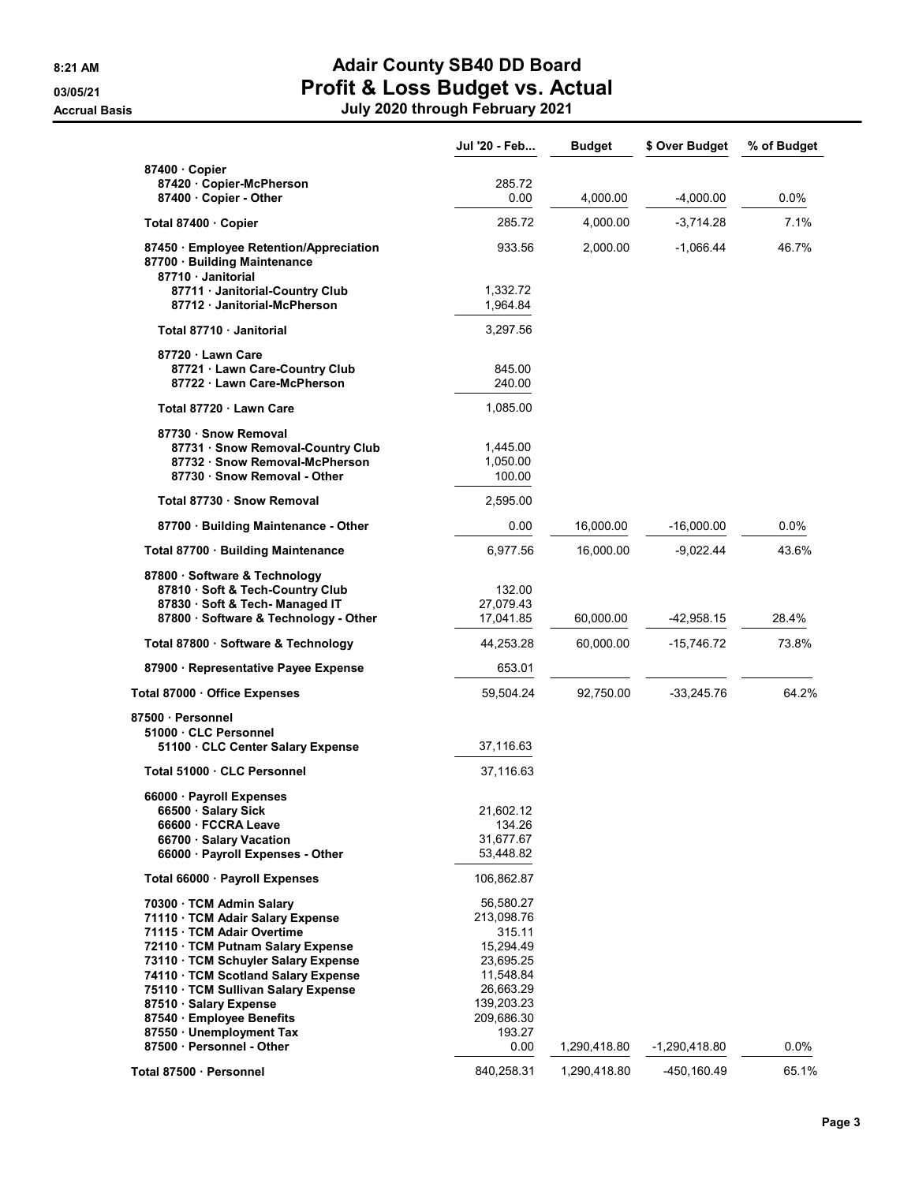## 8:21 AM **Adair County SB40 DD Board** 03/05/21 **Profit & Loss Budget vs. Actual**

|                                                                                                                                                                                                                                                                                                                                       | Jul '20 - Feb                                                                                                               | <b>Budget</b> | \$ Over Budget  | % of Budget |
|---------------------------------------------------------------------------------------------------------------------------------------------------------------------------------------------------------------------------------------------------------------------------------------------------------------------------------------|-----------------------------------------------------------------------------------------------------------------------------|---------------|-----------------|-------------|
| 87400 Copier                                                                                                                                                                                                                                                                                                                          |                                                                                                                             |               |                 |             |
| 87420 Copier-McPherson<br>87400 Copier - Other                                                                                                                                                                                                                                                                                        | 285.72<br>0.00                                                                                                              | 4,000.00      | -4,000.00       | $0.0\%$     |
| Total 87400 Copier                                                                                                                                                                                                                                                                                                                    | 285.72                                                                                                                      | 4,000.00      | -3,714.28       | 7.1%        |
|                                                                                                                                                                                                                                                                                                                                       |                                                                                                                             |               |                 |             |
| 87450 Employee Retention/Appreciation<br>87700 · Building Maintenance<br>87710 Janitorial                                                                                                                                                                                                                                             | 933.56                                                                                                                      | 2,000.00      | -1,066.44       | 46.7%       |
| 87711 Janitorial-Country Club<br>87712 Janitorial-McPherson                                                                                                                                                                                                                                                                           | 1,332.72<br>1,964.84                                                                                                        |               |                 |             |
| Total 87710 Janitorial                                                                                                                                                                                                                                                                                                                | 3,297.56                                                                                                                    |               |                 |             |
| 87720 Lawn Care<br>87721 Lawn Care-Country Club<br>87722 Lawn Care-McPherson                                                                                                                                                                                                                                                          | 845.00<br>240.00                                                                                                            |               |                 |             |
| Total 87720 Lawn Care                                                                                                                                                                                                                                                                                                                 | 1,085.00                                                                                                                    |               |                 |             |
| 87730 · Snow Removal<br>87731 · Snow Removal-Country Club<br>87732 · Snow Removal-McPherson<br>87730 · Snow Removal - Other                                                                                                                                                                                                           | 1,445.00<br>1,050.00<br>100.00                                                                                              |               |                 |             |
| Total 87730 · Snow Removal                                                                                                                                                                                                                                                                                                            | 2,595.00                                                                                                                    |               |                 |             |
| 87700 Building Maintenance - Other                                                                                                                                                                                                                                                                                                    | 0.00                                                                                                                        | 16,000.00     | $-16,000.00$    | 0.0%        |
| Total 87700 · Building Maintenance                                                                                                                                                                                                                                                                                                    | 6,977.56                                                                                                                    | 16,000.00     | -9,022.44       | 43.6%       |
| 87800 · Software & Technology<br>87810 · Soft & Tech-Country Club<br>87830 · Soft & Tech- Managed IT<br>87800 · Software & Technology - Other                                                                                                                                                                                         | 132.00<br>27,079.43<br>17,041.85                                                                                            | 60,000.00     | -42,958.15      | 28.4%       |
| Total 87800 · Software & Technology                                                                                                                                                                                                                                                                                                   | 44,253.28                                                                                                                   | 60,000.00     | -15,746.72      | 73.8%       |
| 87900 · Representative Payee Expense                                                                                                                                                                                                                                                                                                  | 653.01                                                                                                                      |               |                 |             |
| Total 87000 Office Expenses                                                                                                                                                                                                                                                                                                           | 59,504.24                                                                                                                   | 92,750.00     | $-33,245.76$    | 64.2%       |
| 87500 Personnel                                                                                                                                                                                                                                                                                                                       |                                                                                                                             |               |                 |             |
| 51000 CLC Personnel<br>51100 CLC Center Salary Expense                                                                                                                                                                                                                                                                                | 37,116.63                                                                                                                   |               |                 |             |
| Total 51000 · CLC Personnel                                                                                                                                                                                                                                                                                                           | 37,116.63                                                                                                                   |               |                 |             |
| 66000 · Payroll Expenses<br>66500 · Salary Sick<br>66600 · FCCRA Leave<br>66700 · Salary Vacation<br>66000 · Payroll Expenses - Other                                                                                                                                                                                                 | 21,602.12<br>134.26<br>31,677.67<br>53,448.82                                                                               |               |                 |             |
| Total 66000 · Payroll Expenses                                                                                                                                                                                                                                                                                                        | 106,862.87                                                                                                                  |               |                 |             |
| 70300 · TCM Admin Salary<br>71110 · TCM Adair Salary Expense<br>71115 · TCM Adair Overtime<br>72110 · TCM Putnam Salary Expense<br>73110 · TCM Schuyler Salary Expense<br>74110 · TCM Scotland Salary Expense<br>75110 · TCM Sullivan Salary Expense<br>87510 · Salary Expense<br>87540 · Employee Benefits<br>87550 Unemployment Tax | 56,580.27<br>213,098.76<br>315.11<br>15,294.49<br>23,695.25<br>11,548.84<br>26,663.29<br>139,203.23<br>209,686.30<br>193.27 |               |                 |             |
| 87500 · Personnel - Other                                                                                                                                                                                                                                                                                                             | 0.00                                                                                                                        | 1,290,418.80  | $-1,290,418.80$ | 0.0%        |
| Total 87500 · Personnel                                                                                                                                                                                                                                                                                                               | 840,258.31                                                                                                                  | 1,290,418.80  | -450,160.49     | 65.1%       |